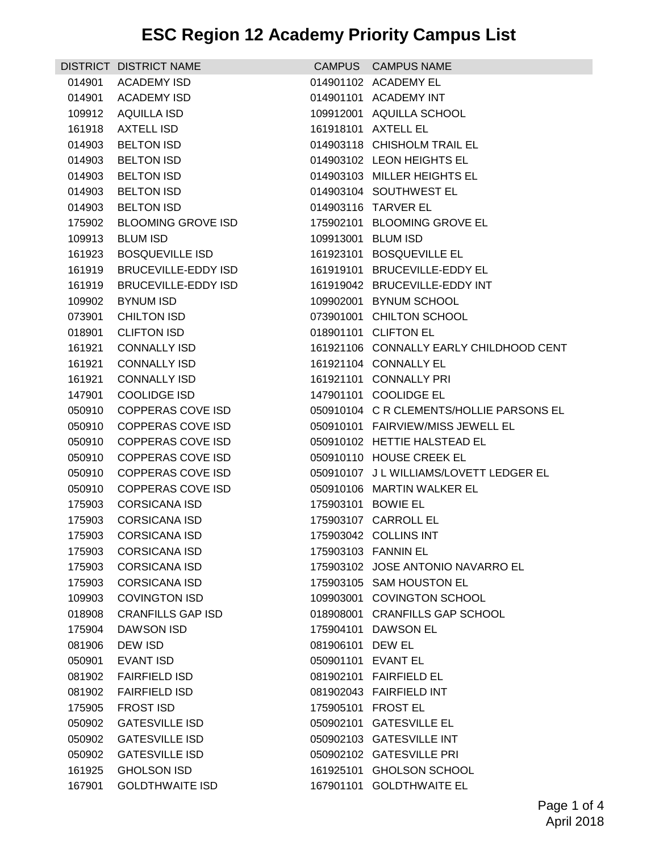|        | DISTRICT DISTRICT NAME     |                    | CAMPUS CAMPUS NAME                       |
|--------|----------------------------|--------------------|------------------------------------------|
| 014901 | <b>ACADEMY ISD</b>         |                    | 014901102 ACADEMY EL                     |
| 014901 | <b>ACADEMY ISD</b>         |                    | 014901101 ACADEMY INT                    |
| 109912 | AQUILLA ISD                |                    | 109912001 AQUILLA SCHOOL                 |
| 161918 | <b>AXTELL ISD</b>          |                    | 161918101 AXTELL EL                      |
| 014903 | <b>BELTON ISD</b>          |                    | 014903118 CHISHOLM TRAIL EL              |
| 014903 | <b>BELTON ISD</b>          |                    | 014903102 LEON HEIGHTS EL                |
| 014903 | <b>BELTON ISD</b>          |                    | 014903103 MILLER HEIGHTS EL              |
| 014903 | <b>BELTON ISD</b>          |                    | 014903104 SOUTHWEST EL                   |
| 014903 | <b>BELTON ISD</b>          |                    | 014903116 TARVER EL                      |
| 175902 | <b>BLOOMING GROVE ISD</b>  |                    | 175902101 BLOOMING GROVE EL              |
| 109913 | <b>BLUM ISD</b>            | 109913001 BLUM ISD |                                          |
| 161923 | <b>BOSQUEVILLE ISD</b>     |                    | 161923101 BOSQUEVILLE EL                 |
| 161919 | BRUCEVILLE-EDDY ISD        |                    | 161919101 BRUCEVILLE-EDDY EL             |
| 161919 | <b>BRUCEVILLE-EDDY ISD</b> |                    | 161919042 BRUCEVILLE-EDDY INT            |
| 109902 | <b>BYNUM ISD</b>           |                    | 109902001 BYNUM SCHOOL                   |
| 073901 | <b>CHILTON ISD</b>         |                    | 073901001 CHILTON SCHOOL                 |
| 018901 | <b>CLIFTON ISD</b>         |                    | 018901101 CLIFTON EL                     |
| 161921 | <b>CONNALLY ISD</b>        |                    | 161921106 CONNALLY EARLY CHILDHOOD CENT  |
| 161921 | <b>CONNALLY ISD</b>        |                    | 161921104 CONNALLY EL                    |
| 161921 | <b>CONNALLY ISD</b>        |                    | 161921101 CONNALLY PRI                   |
| 147901 | <b>COOLIDGE ISD</b>        |                    | 147901101 COOLIDGE EL                    |
| 050910 | COPPERAS COVE ISD          |                    | 050910104 C R CLEMENTS/HOLLIE PARSONS EL |
| 050910 | COPPERAS COVE ISD          |                    | 050910101 FAIRVIEW/MISS JEWELL EL        |
| 050910 | COPPERAS COVE ISD          |                    | 050910102 HETTIE HALSTEAD EL             |
| 050910 | <b>COPPERAS COVE ISD</b>   |                    | 050910110 HOUSE CREEK EL                 |
| 050910 | <b>COPPERAS COVE ISD</b>   |                    | 050910107 J L WILLIAMS/LOVETT LEDGER EL  |
| 050910 | COPPERAS COVE ISD          |                    | 050910106 MARTIN WALKER EL               |
| 175903 | <b>CORSICANA ISD</b>       |                    | 175903101 BOWIE EL                       |
| 175903 | <b>CORSICANA ISD</b>       |                    | 175903107 CARROLL EL                     |
| 175903 | <b>CORSICANA ISD</b>       |                    | 175903042 COLLINS INT                    |
| 175903 | <b>CORSICANA ISD</b>       |                    | 175903103 FANNIN EL                      |
| 175903 | <b>CORSICANA ISD</b>       |                    | 175903102 JOSE ANTONIO NAVARRO EL        |
| 175903 | <b>CORSICANA ISD</b>       |                    | 175903105 SAM HOUSTON EL                 |
| 109903 | <b>COVINGTON ISD</b>       |                    | 109903001 COVINGTON SCHOOL               |
| 018908 | <b>CRANFILLS GAP ISD</b>   |                    | 018908001 CRANFILLS GAP SCHOOL           |
| 175904 | DAWSON ISD                 |                    | 175904101 DAWSON EL                      |
| 081906 | <b>DEW ISD</b>             | 081906101 DEW EL   |                                          |
| 050901 | <b>EVANT ISD</b>           | 050901101 EVANT EL |                                          |
| 081902 | <b>FAIRFIELD ISD</b>       |                    | 081902101 FAIRFIELD EL                   |
| 081902 | <b>FAIRFIELD ISD</b>       |                    | 081902043 FAIRFIELD INT                  |
| 175905 | <b>FROST ISD</b>           |                    | 175905101 FROST EL                       |
| 050902 | <b>GATESVILLE ISD</b>      |                    | 050902101 GATESVILLE EL                  |
| 050902 | <b>GATESVILLE ISD</b>      |                    | 050902103 GATESVILLE INT                 |
| 050902 | <b>GATESVILLE ISD</b>      |                    | 050902102 GATESVILLE PRI                 |
| 161925 | <b>GHOLSON ISD</b>         |                    | 161925101 GHOLSON SCHOOL                 |
| 167901 | <b>GOLDTHWAITE ISD</b>     |                    | 167901101 GOLDTHWAITE EL                 |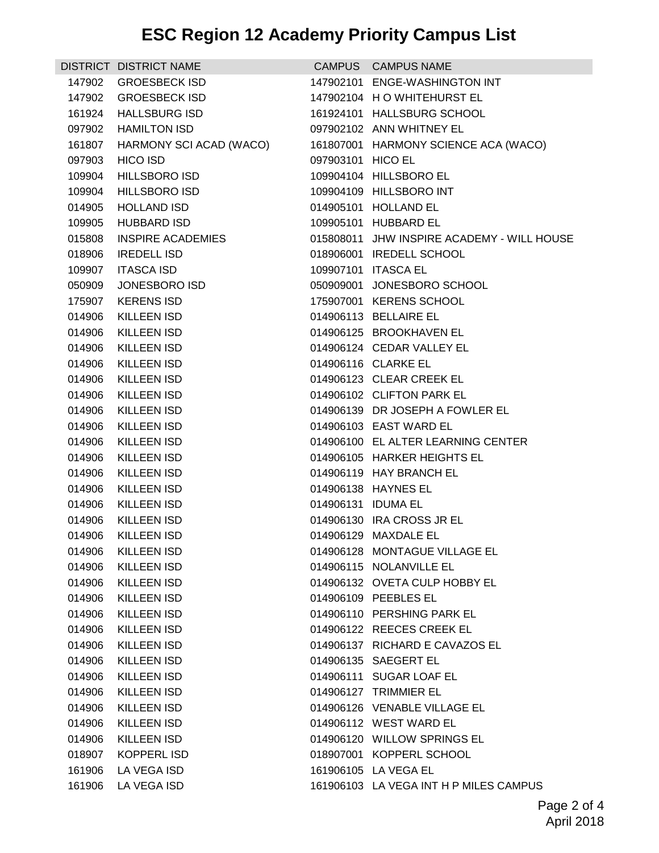| <b>GROESBECK ISD</b><br>147902101 ENGE-WASHINGTON INT<br>147902<br>147902 GROESBECK ISD<br>147902104 H O WHITEHURST EL<br><b>HALLSBURG ISD</b><br>161924101 HALLSBURG SCHOOL<br>161924<br><b>HAMILTON ISD</b><br>097902102 ANN WHITNEY EL<br>097902<br>161807 HARMONY SCI ACAD (WACO)<br>161807001 HARMONY SCIENCE ACA (WACO)<br>097903<br><b>HICO ISD</b><br>097903101 HICO EL<br><b>HILLSBORO ISD</b><br>109904104 HILLSBORO EL<br>109904<br>109904<br><b>HILLSBORO ISD</b><br>109904109 HILLSBORO INT<br>014905<br><b>HOLLAND ISD</b><br>014905101 HOLLAND EL<br><b>HUBBARD ISD</b><br>109905101 HUBBARD EL<br>109905<br>015808<br><b>INSPIRE ACADEMIES</b><br>015808011 JHW INSPIRE ACADEMY - WILL HOUSE<br><b>IREDELL ISD</b><br>018906001 IREDELL SCHOOL<br>018906<br><b>ITASCA ISD</b><br>109907101 ITASCA EL<br>109907<br>050909<br>JONESBORO ISD<br>050909001 JONESBORO SCHOOL<br><b>KERENS ISD</b><br>175907001 KERENS SCHOOL<br>175907<br>014906113 BELLAIRE EL<br>014906<br>KILLEEN ISD<br>KILLEEN ISD<br>014906125 BROOKHAVEN EL<br>014906<br>KILLEEN ISD<br>014906124 CEDAR VALLEY EL<br>014906<br>014906<br>KILLEEN ISD<br>014906116 CLARKE EL<br>KILLEEN ISD<br>014906123 CLEAR CREEK EL<br>014906<br>014906<br><b>KILLEEN ISD</b><br>014906102 CLIFTON PARK EL<br>014906139 DR JOSEPH A FOWLER EL<br>014906<br>KILLEEN ISD<br>014906<br><b>KILLEEN ISD</b><br>014906103 EAST WARD EL<br>014906<br>KILLEEN ISD<br>014906100 EL ALTER LEARNING CENTER<br><b>KILLEEN ISD</b><br>014906105 HARKER HEIGHTS EL<br>014906<br>014906<br><b>KILLEEN ISD</b><br>014906119 HAY BRANCH EL<br><b>KILLEEN ISD</b><br>014906138 HAYNES EL<br>014906<br>014906<br>KILLEEN ISD<br>014906131 IDUMA EL<br>014906<br>KILLEEN ISD<br>014906130 IRA CROSS JR EL<br>014906129 MAXDALE EL<br>014906 KILLEEN ISD<br>014906128 MONTAGUE VILLAGE EL<br>014906 KILLEEN ISD<br><b>KILLEEN ISD</b><br>014906115 NOLANVILLE EL<br>014906<br>014906<br><b>KILLEEN ISD</b><br>014906132 OVETA CULP HOBBY EL<br><b>KILLEEN ISD</b><br>014906109 PEEBLES EL<br>014906<br>014906<br>KILLEEN ISD<br>014906110 PERSHING PARK EL<br>014906122 REECES CREEK EL<br>014906<br>KILLEEN ISD<br><b>KILLEEN ISD</b><br>014906137 RICHARD E CAVAZOS EL<br>014906<br>014906135 SAEGERT EL<br>014906<br><b>KILLEEN ISD</b><br>014906<br><b>KILLEEN ISD</b><br>014906111 SUGAR LOAF EL<br>014906<br>KILLEEN ISD<br>014906127 TRIMMIER EL<br>014906<br>KILLEEN ISD<br>014906126 VENABLE VILLAGE EL<br><b>KILLEEN ISD</b><br>014906112 WEST WARD EL<br>014906<br>KILLEEN ISD<br>014906120 WILLOW SPRINGS EL<br>014906<br>018907001 KOPPERL SCHOOL<br>018907<br>KOPPERL ISD<br>161906<br>LA VEGA ISD<br>161906105 LA VEGA EL | DISTRICT DISTRICT NAME | CAMPUS CAMPUS NAME |
|------------------------------------------------------------------------------------------------------------------------------------------------------------------------------------------------------------------------------------------------------------------------------------------------------------------------------------------------------------------------------------------------------------------------------------------------------------------------------------------------------------------------------------------------------------------------------------------------------------------------------------------------------------------------------------------------------------------------------------------------------------------------------------------------------------------------------------------------------------------------------------------------------------------------------------------------------------------------------------------------------------------------------------------------------------------------------------------------------------------------------------------------------------------------------------------------------------------------------------------------------------------------------------------------------------------------------------------------------------------------------------------------------------------------------------------------------------------------------------------------------------------------------------------------------------------------------------------------------------------------------------------------------------------------------------------------------------------------------------------------------------------------------------------------------------------------------------------------------------------------------------------------------------------------------------------------------------------------------------------------------------------------------------------------------------------------------------------------------------------------------------------------------------------------------------------------------------------------------------------------------------------------------------------------------------------------------------------------------------------------------------------------------------------------------------------------------------------------------------------------------------------------------------------------------------------------------------------------------------------------------------------------------------------------------------------|------------------------|--------------------|
|                                                                                                                                                                                                                                                                                                                                                                                                                                                                                                                                                                                                                                                                                                                                                                                                                                                                                                                                                                                                                                                                                                                                                                                                                                                                                                                                                                                                                                                                                                                                                                                                                                                                                                                                                                                                                                                                                                                                                                                                                                                                                                                                                                                                                                                                                                                                                                                                                                                                                                                                                                                                                                                                                          |                        |                    |
|                                                                                                                                                                                                                                                                                                                                                                                                                                                                                                                                                                                                                                                                                                                                                                                                                                                                                                                                                                                                                                                                                                                                                                                                                                                                                                                                                                                                                                                                                                                                                                                                                                                                                                                                                                                                                                                                                                                                                                                                                                                                                                                                                                                                                                                                                                                                                                                                                                                                                                                                                                                                                                                                                          |                        |                    |
|                                                                                                                                                                                                                                                                                                                                                                                                                                                                                                                                                                                                                                                                                                                                                                                                                                                                                                                                                                                                                                                                                                                                                                                                                                                                                                                                                                                                                                                                                                                                                                                                                                                                                                                                                                                                                                                                                                                                                                                                                                                                                                                                                                                                                                                                                                                                                                                                                                                                                                                                                                                                                                                                                          |                        |                    |
|                                                                                                                                                                                                                                                                                                                                                                                                                                                                                                                                                                                                                                                                                                                                                                                                                                                                                                                                                                                                                                                                                                                                                                                                                                                                                                                                                                                                                                                                                                                                                                                                                                                                                                                                                                                                                                                                                                                                                                                                                                                                                                                                                                                                                                                                                                                                                                                                                                                                                                                                                                                                                                                                                          |                        |                    |
|                                                                                                                                                                                                                                                                                                                                                                                                                                                                                                                                                                                                                                                                                                                                                                                                                                                                                                                                                                                                                                                                                                                                                                                                                                                                                                                                                                                                                                                                                                                                                                                                                                                                                                                                                                                                                                                                                                                                                                                                                                                                                                                                                                                                                                                                                                                                                                                                                                                                                                                                                                                                                                                                                          |                        |                    |
|                                                                                                                                                                                                                                                                                                                                                                                                                                                                                                                                                                                                                                                                                                                                                                                                                                                                                                                                                                                                                                                                                                                                                                                                                                                                                                                                                                                                                                                                                                                                                                                                                                                                                                                                                                                                                                                                                                                                                                                                                                                                                                                                                                                                                                                                                                                                                                                                                                                                                                                                                                                                                                                                                          |                        |                    |
|                                                                                                                                                                                                                                                                                                                                                                                                                                                                                                                                                                                                                                                                                                                                                                                                                                                                                                                                                                                                                                                                                                                                                                                                                                                                                                                                                                                                                                                                                                                                                                                                                                                                                                                                                                                                                                                                                                                                                                                                                                                                                                                                                                                                                                                                                                                                                                                                                                                                                                                                                                                                                                                                                          |                        |                    |
|                                                                                                                                                                                                                                                                                                                                                                                                                                                                                                                                                                                                                                                                                                                                                                                                                                                                                                                                                                                                                                                                                                                                                                                                                                                                                                                                                                                                                                                                                                                                                                                                                                                                                                                                                                                                                                                                                                                                                                                                                                                                                                                                                                                                                                                                                                                                                                                                                                                                                                                                                                                                                                                                                          |                        |                    |
|                                                                                                                                                                                                                                                                                                                                                                                                                                                                                                                                                                                                                                                                                                                                                                                                                                                                                                                                                                                                                                                                                                                                                                                                                                                                                                                                                                                                                                                                                                                                                                                                                                                                                                                                                                                                                                                                                                                                                                                                                                                                                                                                                                                                                                                                                                                                                                                                                                                                                                                                                                                                                                                                                          |                        |                    |
|                                                                                                                                                                                                                                                                                                                                                                                                                                                                                                                                                                                                                                                                                                                                                                                                                                                                                                                                                                                                                                                                                                                                                                                                                                                                                                                                                                                                                                                                                                                                                                                                                                                                                                                                                                                                                                                                                                                                                                                                                                                                                                                                                                                                                                                                                                                                                                                                                                                                                                                                                                                                                                                                                          |                        |                    |
|                                                                                                                                                                                                                                                                                                                                                                                                                                                                                                                                                                                                                                                                                                                                                                                                                                                                                                                                                                                                                                                                                                                                                                                                                                                                                                                                                                                                                                                                                                                                                                                                                                                                                                                                                                                                                                                                                                                                                                                                                                                                                                                                                                                                                                                                                                                                                                                                                                                                                                                                                                                                                                                                                          |                        |                    |
|                                                                                                                                                                                                                                                                                                                                                                                                                                                                                                                                                                                                                                                                                                                                                                                                                                                                                                                                                                                                                                                                                                                                                                                                                                                                                                                                                                                                                                                                                                                                                                                                                                                                                                                                                                                                                                                                                                                                                                                                                                                                                                                                                                                                                                                                                                                                                                                                                                                                                                                                                                                                                                                                                          |                        |                    |
|                                                                                                                                                                                                                                                                                                                                                                                                                                                                                                                                                                                                                                                                                                                                                                                                                                                                                                                                                                                                                                                                                                                                                                                                                                                                                                                                                                                                                                                                                                                                                                                                                                                                                                                                                                                                                                                                                                                                                                                                                                                                                                                                                                                                                                                                                                                                                                                                                                                                                                                                                                                                                                                                                          |                        |                    |
|                                                                                                                                                                                                                                                                                                                                                                                                                                                                                                                                                                                                                                                                                                                                                                                                                                                                                                                                                                                                                                                                                                                                                                                                                                                                                                                                                                                                                                                                                                                                                                                                                                                                                                                                                                                                                                                                                                                                                                                                                                                                                                                                                                                                                                                                                                                                                                                                                                                                                                                                                                                                                                                                                          |                        |                    |
|                                                                                                                                                                                                                                                                                                                                                                                                                                                                                                                                                                                                                                                                                                                                                                                                                                                                                                                                                                                                                                                                                                                                                                                                                                                                                                                                                                                                                                                                                                                                                                                                                                                                                                                                                                                                                                                                                                                                                                                                                                                                                                                                                                                                                                                                                                                                                                                                                                                                                                                                                                                                                                                                                          |                        |                    |
|                                                                                                                                                                                                                                                                                                                                                                                                                                                                                                                                                                                                                                                                                                                                                                                                                                                                                                                                                                                                                                                                                                                                                                                                                                                                                                                                                                                                                                                                                                                                                                                                                                                                                                                                                                                                                                                                                                                                                                                                                                                                                                                                                                                                                                                                                                                                                                                                                                                                                                                                                                                                                                                                                          |                        |                    |
|                                                                                                                                                                                                                                                                                                                                                                                                                                                                                                                                                                                                                                                                                                                                                                                                                                                                                                                                                                                                                                                                                                                                                                                                                                                                                                                                                                                                                                                                                                                                                                                                                                                                                                                                                                                                                                                                                                                                                                                                                                                                                                                                                                                                                                                                                                                                                                                                                                                                                                                                                                                                                                                                                          |                        |                    |
|                                                                                                                                                                                                                                                                                                                                                                                                                                                                                                                                                                                                                                                                                                                                                                                                                                                                                                                                                                                                                                                                                                                                                                                                                                                                                                                                                                                                                                                                                                                                                                                                                                                                                                                                                                                                                                                                                                                                                                                                                                                                                                                                                                                                                                                                                                                                                                                                                                                                                                                                                                                                                                                                                          |                        |                    |
|                                                                                                                                                                                                                                                                                                                                                                                                                                                                                                                                                                                                                                                                                                                                                                                                                                                                                                                                                                                                                                                                                                                                                                                                                                                                                                                                                                                                                                                                                                                                                                                                                                                                                                                                                                                                                                                                                                                                                                                                                                                                                                                                                                                                                                                                                                                                                                                                                                                                                                                                                                                                                                                                                          |                        |                    |
|                                                                                                                                                                                                                                                                                                                                                                                                                                                                                                                                                                                                                                                                                                                                                                                                                                                                                                                                                                                                                                                                                                                                                                                                                                                                                                                                                                                                                                                                                                                                                                                                                                                                                                                                                                                                                                                                                                                                                                                                                                                                                                                                                                                                                                                                                                                                                                                                                                                                                                                                                                                                                                                                                          |                        |                    |
|                                                                                                                                                                                                                                                                                                                                                                                                                                                                                                                                                                                                                                                                                                                                                                                                                                                                                                                                                                                                                                                                                                                                                                                                                                                                                                                                                                                                                                                                                                                                                                                                                                                                                                                                                                                                                                                                                                                                                                                                                                                                                                                                                                                                                                                                                                                                                                                                                                                                                                                                                                                                                                                                                          |                        |                    |
|                                                                                                                                                                                                                                                                                                                                                                                                                                                                                                                                                                                                                                                                                                                                                                                                                                                                                                                                                                                                                                                                                                                                                                                                                                                                                                                                                                                                                                                                                                                                                                                                                                                                                                                                                                                                                                                                                                                                                                                                                                                                                                                                                                                                                                                                                                                                                                                                                                                                                                                                                                                                                                                                                          |                        |                    |
|                                                                                                                                                                                                                                                                                                                                                                                                                                                                                                                                                                                                                                                                                                                                                                                                                                                                                                                                                                                                                                                                                                                                                                                                                                                                                                                                                                                                                                                                                                                                                                                                                                                                                                                                                                                                                                                                                                                                                                                                                                                                                                                                                                                                                                                                                                                                                                                                                                                                                                                                                                                                                                                                                          |                        |                    |
|                                                                                                                                                                                                                                                                                                                                                                                                                                                                                                                                                                                                                                                                                                                                                                                                                                                                                                                                                                                                                                                                                                                                                                                                                                                                                                                                                                                                                                                                                                                                                                                                                                                                                                                                                                                                                                                                                                                                                                                                                                                                                                                                                                                                                                                                                                                                                                                                                                                                                                                                                                                                                                                                                          |                        |                    |
|                                                                                                                                                                                                                                                                                                                                                                                                                                                                                                                                                                                                                                                                                                                                                                                                                                                                                                                                                                                                                                                                                                                                                                                                                                                                                                                                                                                                                                                                                                                                                                                                                                                                                                                                                                                                                                                                                                                                                                                                                                                                                                                                                                                                                                                                                                                                                                                                                                                                                                                                                                                                                                                                                          |                        |                    |
|                                                                                                                                                                                                                                                                                                                                                                                                                                                                                                                                                                                                                                                                                                                                                                                                                                                                                                                                                                                                                                                                                                                                                                                                                                                                                                                                                                                                                                                                                                                                                                                                                                                                                                                                                                                                                                                                                                                                                                                                                                                                                                                                                                                                                                                                                                                                                                                                                                                                                                                                                                                                                                                                                          |                        |                    |
|                                                                                                                                                                                                                                                                                                                                                                                                                                                                                                                                                                                                                                                                                                                                                                                                                                                                                                                                                                                                                                                                                                                                                                                                                                                                                                                                                                                                                                                                                                                                                                                                                                                                                                                                                                                                                                                                                                                                                                                                                                                                                                                                                                                                                                                                                                                                                                                                                                                                                                                                                                                                                                                                                          |                        |                    |
|                                                                                                                                                                                                                                                                                                                                                                                                                                                                                                                                                                                                                                                                                                                                                                                                                                                                                                                                                                                                                                                                                                                                                                                                                                                                                                                                                                                                                                                                                                                                                                                                                                                                                                                                                                                                                                                                                                                                                                                                                                                                                                                                                                                                                                                                                                                                                                                                                                                                                                                                                                                                                                                                                          |                        |                    |
|                                                                                                                                                                                                                                                                                                                                                                                                                                                                                                                                                                                                                                                                                                                                                                                                                                                                                                                                                                                                                                                                                                                                                                                                                                                                                                                                                                                                                                                                                                                                                                                                                                                                                                                                                                                                                                                                                                                                                                                                                                                                                                                                                                                                                                                                                                                                                                                                                                                                                                                                                                                                                                                                                          |                        |                    |
|                                                                                                                                                                                                                                                                                                                                                                                                                                                                                                                                                                                                                                                                                                                                                                                                                                                                                                                                                                                                                                                                                                                                                                                                                                                                                                                                                                                                                                                                                                                                                                                                                                                                                                                                                                                                                                                                                                                                                                                                                                                                                                                                                                                                                                                                                                                                                                                                                                                                                                                                                                                                                                                                                          |                        |                    |
|                                                                                                                                                                                                                                                                                                                                                                                                                                                                                                                                                                                                                                                                                                                                                                                                                                                                                                                                                                                                                                                                                                                                                                                                                                                                                                                                                                                                                                                                                                                                                                                                                                                                                                                                                                                                                                                                                                                                                                                                                                                                                                                                                                                                                                                                                                                                                                                                                                                                                                                                                                                                                                                                                          |                        |                    |
|                                                                                                                                                                                                                                                                                                                                                                                                                                                                                                                                                                                                                                                                                                                                                                                                                                                                                                                                                                                                                                                                                                                                                                                                                                                                                                                                                                                                                                                                                                                                                                                                                                                                                                                                                                                                                                                                                                                                                                                                                                                                                                                                                                                                                                                                                                                                                                                                                                                                                                                                                                                                                                                                                          |                        |                    |
|                                                                                                                                                                                                                                                                                                                                                                                                                                                                                                                                                                                                                                                                                                                                                                                                                                                                                                                                                                                                                                                                                                                                                                                                                                                                                                                                                                                                                                                                                                                                                                                                                                                                                                                                                                                                                                                                                                                                                                                                                                                                                                                                                                                                                                                                                                                                                                                                                                                                                                                                                                                                                                                                                          |                        |                    |
|                                                                                                                                                                                                                                                                                                                                                                                                                                                                                                                                                                                                                                                                                                                                                                                                                                                                                                                                                                                                                                                                                                                                                                                                                                                                                                                                                                                                                                                                                                                                                                                                                                                                                                                                                                                                                                                                                                                                                                                                                                                                                                                                                                                                                                                                                                                                                                                                                                                                                                                                                                                                                                                                                          |                        |                    |
|                                                                                                                                                                                                                                                                                                                                                                                                                                                                                                                                                                                                                                                                                                                                                                                                                                                                                                                                                                                                                                                                                                                                                                                                                                                                                                                                                                                                                                                                                                                                                                                                                                                                                                                                                                                                                                                                                                                                                                                                                                                                                                                                                                                                                                                                                                                                                                                                                                                                                                                                                                                                                                                                                          |                        |                    |
|                                                                                                                                                                                                                                                                                                                                                                                                                                                                                                                                                                                                                                                                                                                                                                                                                                                                                                                                                                                                                                                                                                                                                                                                                                                                                                                                                                                                                                                                                                                                                                                                                                                                                                                                                                                                                                                                                                                                                                                                                                                                                                                                                                                                                                                                                                                                                                                                                                                                                                                                                                                                                                                                                          |                        |                    |
|                                                                                                                                                                                                                                                                                                                                                                                                                                                                                                                                                                                                                                                                                                                                                                                                                                                                                                                                                                                                                                                                                                                                                                                                                                                                                                                                                                                                                                                                                                                                                                                                                                                                                                                                                                                                                                                                                                                                                                                                                                                                                                                                                                                                                                                                                                                                                                                                                                                                                                                                                                                                                                                                                          |                        |                    |
|                                                                                                                                                                                                                                                                                                                                                                                                                                                                                                                                                                                                                                                                                                                                                                                                                                                                                                                                                                                                                                                                                                                                                                                                                                                                                                                                                                                                                                                                                                                                                                                                                                                                                                                                                                                                                                                                                                                                                                                                                                                                                                                                                                                                                                                                                                                                                                                                                                                                                                                                                                                                                                                                                          |                        |                    |
|                                                                                                                                                                                                                                                                                                                                                                                                                                                                                                                                                                                                                                                                                                                                                                                                                                                                                                                                                                                                                                                                                                                                                                                                                                                                                                                                                                                                                                                                                                                                                                                                                                                                                                                                                                                                                                                                                                                                                                                                                                                                                                                                                                                                                                                                                                                                                                                                                                                                                                                                                                                                                                                                                          |                        |                    |
|                                                                                                                                                                                                                                                                                                                                                                                                                                                                                                                                                                                                                                                                                                                                                                                                                                                                                                                                                                                                                                                                                                                                                                                                                                                                                                                                                                                                                                                                                                                                                                                                                                                                                                                                                                                                                                                                                                                                                                                                                                                                                                                                                                                                                                                                                                                                                                                                                                                                                                                                                                                                                                                                                          |                        |                    |
|                                                                                                                                                                                                                                                                                                                                                                                                                                                                                                                                                                                                                                                                                                                                                                                                                                                                                                                                                                                                                                                                                                                                                                                                                                                                                                                                                                                                                                                                                                                                                                                                                                                                                                                                                                                                                                                                                                                                                                                                                                                                                                                                                                                                                                                                                                                                                                                                                                                                                                                                                                                                                                                                                          |                        |                    |
|                                                                                                                                                                                                                                                                                                                                                                                                                                                                                                                                                                                                                                                                                                                                                                                                                                                                                                                                                                                                                                                                                                                                                                                                                                                                                                                                                                                                                                                                                                                                                                                                                                                                                                                                                                                                                                                                                                                                                                                                                                                                                                                                                                                                                                                                                                                                                                                                                                                                                                                                                                                                                                                                                          |                        |                    |
|                                                                                                                                                                                                                                                                                                                                                                                                                                                                                                                                                                                                                                                                                                                                                                                                                                                                                                                                                                                                                                                                                                                                                                                                                                                                                                                                                                                                                                                                                                                                                                                                                                                                                                                                                                                                                                                                                                                                                                                                                                                                                                                                                                                                                                                                                                                                                                                                                                                                                                                                                                                                                                                                                          |                        |                    |
|                                                                                                                                                                                                                                                                                                                                                                                                                                                                                                                                                                                                                                                                                                                                                                                                                                                                                                                                                                                                                                                                                                                                                                                                                                                                                                                                                                                                                                                                                                                                                                                                                                                                                                                                                                                                                                                                                                                                                                                                                                                                                                                                                                                                                                                                                                                                                                                                                                                                                                                                                                                                                                                                                          |                        |                    |
| 161906 LA VEGA ISD<br>161906103 LA VEGA INT H P MILES CAMPUS                                                                                                                                                                                                                                                                                                                                                                                                                                                                                                                                                                                                                                                                                                                                                                                                                                                                                                                                                                                                                                                                                                                                                                                                                                                                                                                                                                                                                                                                                                                                                                                                                                                                                                                                                                                                                                                                                                                                                                                                                                                                                                                                                                                                                                                                                                                                                                                                                                                                                                                                                                                                                             |                        |                    |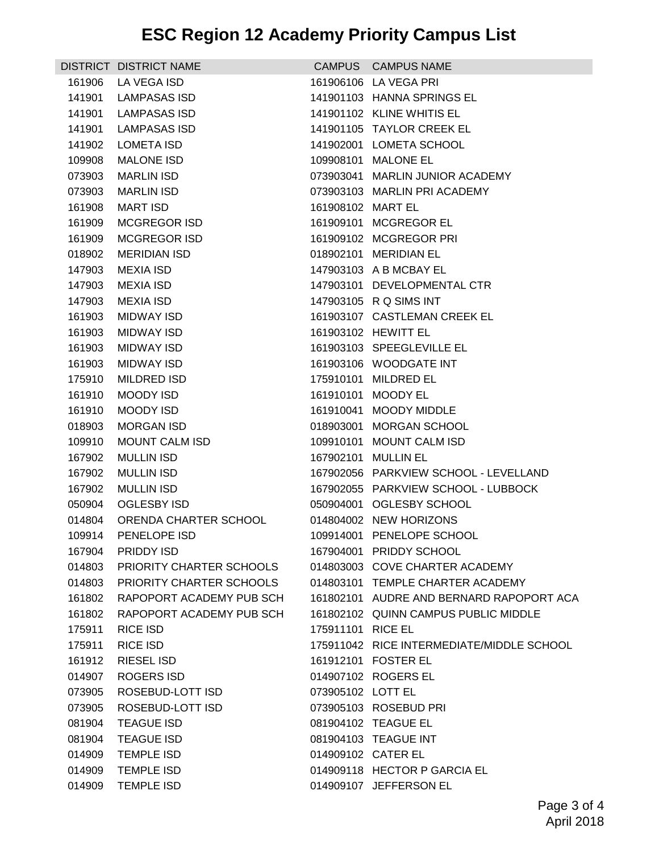|        | DISTRICT DISTRICT NAME          |                    | CAMPUS CAMPUS NAME                        |
|--------|---------------------------------|--------------------|-------------------------------------------|
| 161906 | LA VEGA ISD                     |                    | 161906106 LA VEGA PRI                     |
| 141901 | LAMPASAS ISD                    |                    | 141901103 HANNA SPRINGS EL                |
| 141901 | LAMPASAS ISD                    |                    | 141901102 KLINE WHITIS EL                 |
| 141901 | LAMPASAS ISD                    |                    | 141901105 TAYLOR CREEK EL                 |
| 141902 | LOMETA ISD                      |                    | 141902001 LOMETA SCHOOL                   |
| 109908 | <b>MALONE ISD</b>               |                    | 109908101 MALONE EL                       |
| 073903 | <b>MARLIN ISD</b>               |                    | 073903041 MARLIN JUNIOR ACADEMY           |
| 073903 | MARLIN ISD                      |                    | 073903103 MARLIN PRI ACADEMY              |
| 161908 | <b>MART ISD</b>                 | 161908102 MART EL  |                                           |
| 161909 | MCGREGOR ISD                    |                    | 161909101 MCGREGOR EL                     |
| 161909 | <b>MCGREGOR ISD</b>             |                    | 161909102 MCGREGOR PRI                    |
| 018902 | MERIDIAN ISD                    |                    | 018902101 MERIDIAN EL                     |
| 147903 | MEXIA ISD                       |                    | 147903103 A B MCBAY EL                    |
| 147903 | MEXIA ISD                       |                    | 147903101 DEVELOPMENTAL CTR               |
| 147903 | MEXIA ISD                       |                    | 147903105 R Q SIMS INT                    |
| 161903 | MIDWAY ISD                      |                    | 161903107 CASTLEMAN CREEK EL              |
| 161903 | <b>MIDWAY ISD</b>               |                    | 161903102 HEWITT EL                       |
| 161903 | MIDWAY ISD                      |                    | 161903103 SPEEGLEVILLE EL                 |
| 161903 | MIDWAY ISD                      |                    | 161903106 WOODGATE INT                    |
| 175910 | MILDRED ISD                     |                    | 175910101 MILDRED EL                      |
| 161910 | MOODY ISD                       |                    | 161910101 MOODY EL                        |
| 161910 | MOODY ISD                       |                    | 161910041 MOODY MIDDLE                    |
| 018903 | <b>MORGAN ISD</b>               |                    | 018903001 MORGAN SCHOOL                   |
| 109910 | MOUNT CALM ISD                  |                    | 109910101 MOUNT CALM ISD                  |
| 167902 | <b>MULLIN ISD</b>               |                    | 167902101 MULLIN EL                       |
| 167902 | <b>MULLIN ISD</b>               |                    | 167902056 PARKVIEW SCHOOL - LEVELLAND     |
| 167902 | <b>MULLIN ISD</b>               |                    | 167902055 PARKVIEW SCHOOL - LUBBOCK       |
| 050904 | OGLESBY ISD                     |                    | 050904001 OGLESBY SCHOOL                  |
|        | 014804 ORENDA CHARTER SCHOOL    |                    | 014804002 NEW HORIZONS                    |
|        | 109914 PENELOPE ISD             |                    | 109914001 PENELOPE SCHOOL                 |
|        | 167904 PRIDDY ISD               |                    | 167904001 PRIDDY SCHOOL                   |
| 014803 | <b>PRIORITY CHARTER SCHOOLS</b> |                    | 014803003 COVE CHARTER ACADEMY            |
| 014803 | PRIORITY CHARTER SCHOOLS        |                    | 014803101 TEMPLE CHARTER ACADEMY          |
| 161802 | RAPOPORT ACADEMY PUB SCH        |                    | 161802101 AUDRE AND BERNARD RAPOPORT ACA  |
| 161802 | RAPOPORT ACADEMY PUB SCH        |                    | 161802102 QUINN CAMPUS PUBLIC MIDDLE      |
| 175911 | <b>RICE ISD</b>                 | 175911101 RICE EL  |                                           |
| 175911 | <b>RICE ISD</b>                 |                    | 175911042 RICE INTERMEDIATE/MIDDLE SCHOOL |
| 161912 | <b>RIESEL ISD</b>               |                    | 161912101 FOSTER EL                       |
| 014907 | <b>ROGERS ISD</b>               |                    | 014907102 ROGERS EL                       |
| 073905 | ROSEBUD-LOTT ISD                | 073905102 LOTT EL  |                                           |
| 073905 | ROSEBUD-LOTT ISD                |                    | 073905103 ROSEBUD PRI                     |
| 081904 | <b>TEAGUE ISD</b>               |                    | 081904102 TEAGUE EL                       |
| 081904 | <b>TEAGUE ISD</b>               |                    | 081904103 TEAGUE INT                      |
| 014909 | <b>TEMPLE ISD</b>               | 014909102 CATER EL |                                           |
| 014909 | <b>TEMPLE ISD</b>               |                    | 014909118 HECTOR P GARCIA EL              |
|        | 014909 TEMPLE ISD               |                    | 014909107 JEFFERSON EL                    |